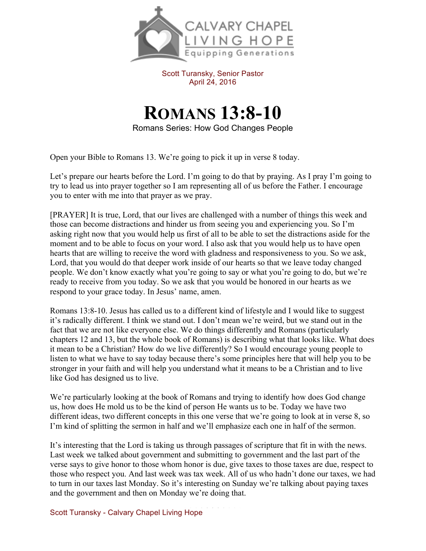

Scott Turansky, Senior Pastor April 24, 2016

## **ROMANS 13:8-10**

Romans Series: How God Changes People

Open your Bible to Romans 13. We're going to pick it up in verse 8 today.

Let's prepare our hearts before the Lord. I'm going to do that by praying. As I pray I'm going to try to lead us into prayer together so I am representing all of us before the Father. I encourage you to enter with me into that prayer as we pray.

[PRAYER] It is true, Lord, that our lives are challenged with a number of things this week and those can become distractions and hinder us from seeing you and experiencing you. So I'm asking right now that you would help us first of all to be able to set the distractions aside for the moment and to be able to focus on your word. I also ask that you would help us to have open hearts that are willing to receive the word with gladness and responsiveness to you. So we ask, Lord, that you would do that deeper work inside of our hearts so that we leave today changed people. We don't know exactly what you're going to say or what you're going to do, but we're ready to receive from you today. So we ask that you would be honored in our hearts as we respond to your grace today. In Jesus' name, amen.

Romans 13:8-10. Jesus has called us to a different kind of lifestyle and I would like to suggest it's radically different. I think we stand out. I don't mean we're weird, but we stand out in the fact that we are not like everyone else. We do things differently and Romans (particularly chapters 12 and 13, but the whole book of Romans) is describing what that looks like. What does it mean to be a Christian? How do we live differently? So I would encourage young people to listen to what we have to say today because there's some principles here that will help you to be stronger in your faith and will help you understand what it means to be a Christian and to live like God has designed us to live.

We're particularly looking at the book of Romans and trying to identify how does God change us, how does He mold us to be the kind of person He wants us to be. Today we have two different ideas, two different concepts in this one verse that we're going to look at in verse 8, so I'm kind of splitting the sermon in half and we'll emphasize each one in half of the sermon.

It's interesting that the Lord is taking us through passages of scripture that fit in with the news. Last week we talked about government and submitting to government and the last part of the verse says to give honor to those whom honor is due, give taxes to those taxes are due, respect to those who respect you. And last week was tax week. All of us who hadn't done our taxes, we had to turn in our taxes last Monday. So it's interesting on Sunday we're talking about paying taxes and the government and then on Monday we're doing that.

Scott Turansky - Calvary Chapel Living Hope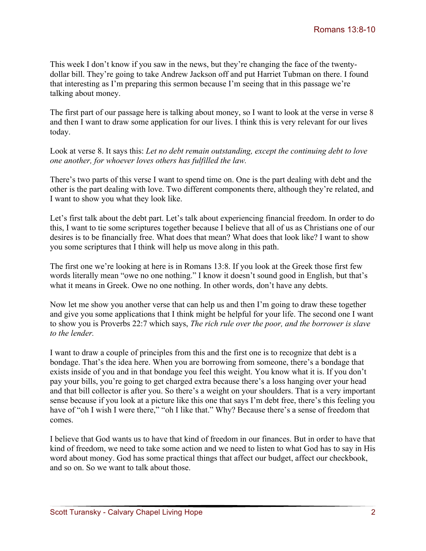This week I don't know if you saw in the news, but they're changing the face of the twentydollar bill. They're going to take Andrew Jackson off and put Harriet Tubman on there. I found that interesting as I'm preparing this sermon because I'm seeing that in this passage we're talking about money.

The first part of our passage here is talking about money, so I want to look at the verse in verse 8 and then I want to draw some application for our lives. I think this is very relevant for our lives today.

Look at verse 8. It says this: *Let no debt remain outstanding, except the continuing debt to love one another, for whoever loves others has fulfilled the law.* 

There's two parts of this verse I want to spend time on. One is the part dealing with debt and the other is the part dealing with love. Two different components there, although they're related, and I want to show you what they look like.

Let's first talk about the debt part. Let's talk about experiencing financial freedom. In order to do this, I want to tie some scriptures together because I believe that all of us as Christians one of our desires is to be financially free. What does that mean? What does that look like? I want to show you some scriptures that I think will help us move along in this path.

The first one we're looking at here is in Romans 13:8. If you look at the Greek those first few words literally mean "owe no one nothing." I know it doesn't sound good in English, but that's what it means in Greek. Owe no one nothing. In other words, don't have any debts.

Now let me show you another verse that can help us and then I'm going to draw these together and give you some applications that I think might be helpful for your life. The second one I want to show you is Proverbs 22:7 which says, *The rich rule over the poor, and the borrower is slave to the lender.* 

I want to draw a couple of principles from this and the first one is to recognize that debt is a bondage. That's the idea here. When you are borrowing from someone, there's a bondage that exists inside of you and in that bondage you feel this weight. You know what it is. If you don't pay your bills, you're going to get charged extra because there's a loss hanging over your head and that bill collector is after you. So there's a weight on your shoulders. That is a very important sense because if you look at a picture like this one that says I'm debt free, there's this feeling you have of "oh I wish I were there," "oh I like that." Why? Because there's a sense of freedom that comes.

I believe that God wants us to have that kind of freedom in our finances. But in order to have that kind of freedom, we need to take some action and we need to listen to what God has to say in His word about money. God has some practical things that affect our budget, affect our checkbook, and so on. So we want to talk about those.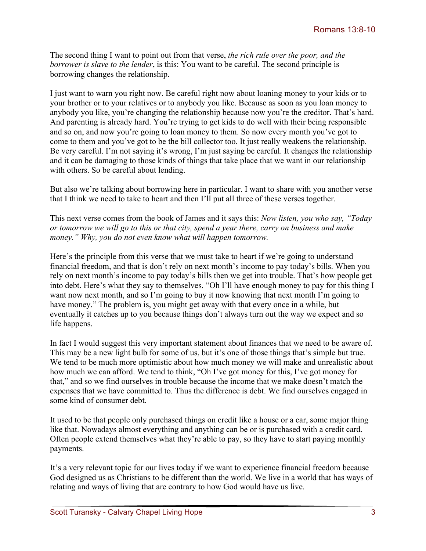The second thing I want to point out from that verse, *the rich rule over the poor, and the borrower is slave to the lender*, is this: You want to be careful. The second principle is borrowing changes the relationship.

I just want to warn you right now. Be careful right now about loaning money to your kids or to your brother or to your relatives or to anybody you like. Because as soon as you loan money to anybody you like, you're changing the relationship because now you're the creditor. That's hard. And parenting is already hard. You're trying to get kids to do well with their being responsible and so on, and now you're going to loan money to them. So now every month you've got to come to them and you've got to be the bill collector too. It just really weakens the relationship. Be very careful. I'm not saying it's wrong, I'm just saying be careful. It changes the relationship and it can be damaging to those kinds of things that take place that we want in our relationship with others. So be careful about lending.

But also we're talking about borrowing here in particular. I want to share with you another verse that I think we need to take to heart and then I'll put all three of these verses together.

This next verse comes from the book of James and it says this: *Now listen, you who say, "Today or tomorrow we will go to this or that city, spend a year there, carry on business and make money." Why, you do not even know what will happen tomorrow.* 

Here's the principle from this verse that we must take to heart if we're going to understand financial freedom, and that is don't rely on next month's income to pay today's bills. When you rely on next month's income to pay today's bills then we get into trouble. That's how people get into debt. Here's what they say to themselves. "Oh I'll have enough money to pay for this thing I want now next month, and so I'm going to buy it now knowing that next month I'm going to have money." The problem is, you might get away with that every once in a while, but eventually it catches up to you because things don't always turn out the way we expect and so life happens.

In fact I would suggest this very important statement about finances that we need to be aware of. This may be a new light bulb for some of us, but it's one of those things that's simple but true. We tend to be much more optimistic about how much money we will make and unrealistic about how much we can afford. We tend to think, "Oh I've got money for this, I've got money for that," and so we find ourselves in trouble because the income that we make doesn't match the expenses that we have committed to. Thus the difference is debt. We find ourselves engaged in some kind of consumer debt.

It used to be that people only purchased things on credit like a house or a car, some major thing like that. Nowadays almost everything and anything can be or is purchased with a credit card. Often people extend themselves what they're able to pay, so they have to start paying monthly payments.

It's a very relevant topic for our lives today if we want to experience financial freedom because God designed us as Christians to be different than the world. We live in a world that has ways of relating and ways of living that are contrary to how God would have us live.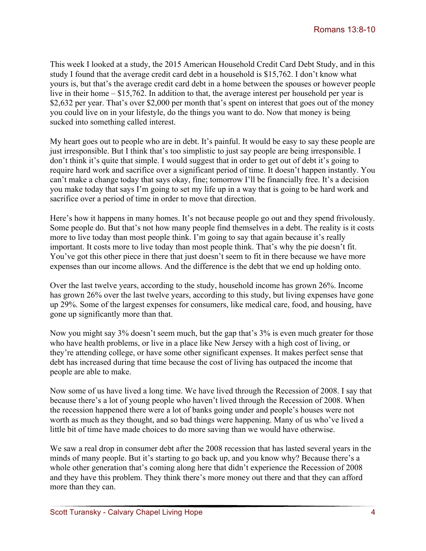This week I looked at a study, the 2015 American Household Credit Card Debt Study, and in this study I found that the average credit card debt in a household is \$15,762. I don't know what yours is, but that's the average credit card debt in a home between the spouses or however people live in their home – \$15,762. In addition to that, the average interest per household per year is \$2,632 per year. That's over \$2,000 per month that's spent on interest that goes out of the money you could live on in your lifestyle, do the things you want to do. Now that money is being sucked into something called interest.

My heart goes out to people who are in debt. It's painful. It would be easy to say these people are just irresponsible. But I think that's too simplistic to just say people are being irresponsible. I don't think it's quite that simple. I would suggest that in order to get out of debt it's going to require hard work and sacrifice over a significant period of time. It doesn't happen instantly. You can't make a change today that says okay, fine; tomorrow I'll be financially free. It's a decision you make today that says I'm going to set my life up in a way that is going to be hard work and sacrifice over a period of time in order to move that direction.

Here's how it happens in many homes. It's not because people go out and they spend frivolously. Some people do. But that's not how many people find themselves in a debt. The reality is it costs more to live today than most people think. I'm going to say that again because it's really important. It costs more to live today than most people think. That's why the pie doesn't fit. You've got this other piece in there that just doesn't seem to fit in there because we have more expenses than our income allows. And the difference is the debt that we end up holding onto.

Over the last twelve years, according to the study, household income has grown 26%. Income has grown 26% over the last twelve years, according to this study, but living expenses have gone up 29%. Some of the largest expenses for consumers, like medical care, food, and housing, have gone up significantly more than that.

Now you might say 3% doesn't seem much, but the gap that's 3% is even much greater for those who have health problems, or live in a place like New Jersey with a high cost of living, or they're attending college, or have some other significant expenses. It makes perfect sense that debt has increased during that time because the cost of living has outpaced the income that people are able to make.

Now some of us have lived a long time. We have lived through the Recession of 2008. I say that because there's a lot of young people who haven't lived through the Recession of 2008. When the recession happened there were a lot of banks going under and people's houses were not worth as much as they thought, and so bad things were happening. Many of us who've lived a little bit of time have made choices to do more saving than we would have otherwise.

We saw a real drop in consumer debt after the 2008 recession that has lasted several years in the minds of many people. But it's starting to go back up, and you know why? Because there's a whole other generation that's coming along here that didn't experience the Recession of 2008 and they have this problem. They think there's more money out there and that they can afford more than they can.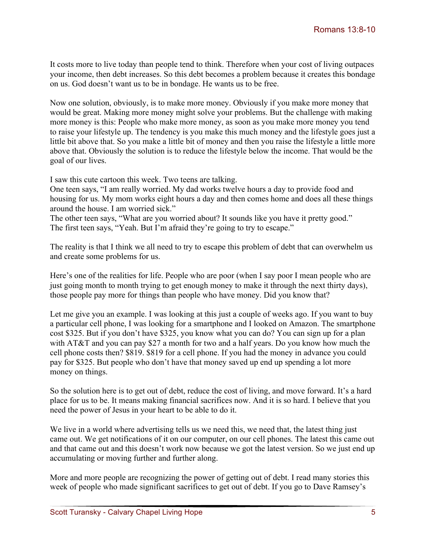It costs more to live today than people tend to think. Therefore when your cost of living outpaces your income, then debt increases. So this debt becomes a problem because it creates this bondage on us. God doesn't want us to be in bondage. He wants us to be free.

Now one solution, obviously, is to make more money. Obviously if you make more money that would be great. Making more money might solve your problems. But the challenge with making more money is this: People who make more money, as soon as you make more money you tend to raise your lifestyle up. The tendency is you make this much money and the lifestyle goes just a little bit above that. So you make a little bit of money and then you raise the lifestyle a little more above that. Obviously the solution is to reduce the lifestyle below the income. That would be the goal of our lives.

I saw this cute cartoon this week. Two teens are talking.

One teen says, "I am really worried. My dad works twelve hours a day to provide food and housing for us. My mom works eight hours a day and then comes home and does all these things around the house. I am worried sick."

The other teen says, "What are you worried about? It sounds like you have it pretty good." The first teen says, "Yeah. But I'm afraid they're going to try to escape."

The reality is that I think we all need to try to escape this problem of debt that can overwhelm us and create some problems for us.

Here's one of the realities for life. People who are poor (when I say poor I mean people who are just going month to month trying to get enough money to make it through the next thirty days), those people pay more for things than people who have money. Did you know that?

Let me give you an example. I was looking at this just a couple of weeks ago. If you want to buy a particular cell phone, I was looking for a smartphone and I looked on Amazon. The smartphone cost \$325. But if you don't have \$325, you know what you can do? You can sign up for a plan with AT&T and you can pay \$27 a month for two and a half years. Do you know how much the cell phone costs then? \$819. \$819 for a cell phone. If you had the money in advance you could pay for \$325. But people who don't have that money saved up end up spending a lot more money on things.

So the solution here is to get out of debt, reduce the cost of living, and move forward. It's a hard place for us to be. It means making financial sacrifices now. And it is so hard. I believe that you need the power of Jesus in your heart to be able to do it.

We live in a world where advertising tells us we need this, we need that, the latest thing just came out. We get notifications of it on our computer, on our cell phones. The latest this came out and that came out and this doesn't work now because we got the latest version. So we just end up accumulating or moving further and further along.

More and more people are recognizing the power of getting out of debt. I read many stories this week of people who made significant sacrifices to get out of debt. If you go to Dave Ramsey's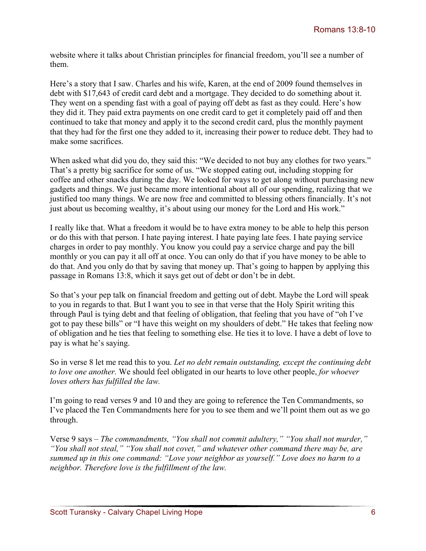website where it talks about Christian principles for financial freedom, you'll see a number of them.

Here's a story that I saw. Charles and his wife, Karen, at the end of 2009 found themselves in debt with \$17,643 of credit card debt and a mortgage. They decided to do something about it. They went on a spending fast with a goal of paying off debt as fast as they could. Here's how they did it. They paid extra payments on one credit card to get it completely paid off and then continued to take that money and apply it to the second credit card, plus the monthly payment that they had for the first one they added to it, increasing their power to reduce debt. They had to make some sacrifices.

When asked what did you do, they said this: "We decided to not buy any clothes for two years." That's a pretty big sacrifice for some of us. "We stopped eating out, including stopping for coffee and other snacks during the day. We looked for ways to get along without purchasing new gadgets and things. We just became more intentional about all of our spending, realizing that we justified too many things. We are now free and committed to blessing others financially. It's not just about us becoming wealthy, it's about using our money for the Lord and His work."

I really like that. What a freedom it would be to have extra money to be able to help this person or do this with that person. I hate paying interest. I hate paying late fees. I hate paying service charges in order to pay monthly. You know you could pay a service charge and pay the bill monthly or you can pay it all off at once. You can only do that if you have money to be able to do that. And you only do that by saving that money up. That's going to happen by applying this passage in Romans 13:8, which it says get out of debt or don't be in debt.

So that's your pep talk on financial freedom and getting out of debt. Maybe the Lord will speak to you in regards to that. But I want you to see in that verse that the Holy Spirit writing this through Paul is tying debt and that feeling of obligation, that feeling that you have of "oh I've got to pay these bills" or "I have this weight on my shoulders of debt." He takes that feeling now of obligation and he ties that feeling to something else. He ties it to love. I have a debt of love to pay is what he's saying.

So in verse 8 let me read this to you. *Let no debt remain outstanding, except the continuing debt to love one another.* We should feel obligated in our hearts to love other people, *for whoever loves others has fulfilled the law.*

I'm going to read verses 9 and 10 and they are going to reference the Ten Commandments, so I've placed the Ten Commandments here for you to see them and we'll point them out as we go through.

Verse 9 says – *The commandments, "You shall not commit adultery," "You shall not murder," "You shall not steal," "You shall not covet," and whatever other command there may be, are summed up in this one command: "Love your neighbor as yourself." Love does no harm to a neighbor. Therefore love is the fulfillment of the law.*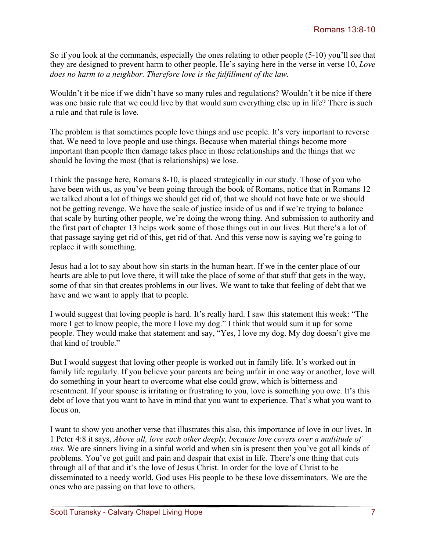So if you look at the commands, especially the ones relating to other people (5-10) you'll see that they are designed to prevent harm to other people. He's saying here in the verse in verse 10, *Love does no harm to a neighbor. Therefore love is the fulfillment of the law.* 

Wouldn't it be nice if we didn't have so many rules and regulations? Wouldn't it be nice if there was one basic rule that we could live by that would sum everything else up in life? There is such a rule and that rule is love.

The problem is that sometimes people love things and use people. It's very important to reverse that. We need to love people and use things. Because when material things become more important than people then damage takes place in those relationships and the things that we should be loving the most (that is relationships) we lose.

I think the passage here, Romans 8-10, is placed strategically in our study. Those of you who have been with us, as you've been going through the book of Romans, notice that in Romans 12 we talked about a lot of things we should get rid of, that we should not have hate or we should not be getting revenge. We have the scale of justice inside of us and if we're trying to balance that scale by hurting other people, we're doing the wrong thing. And submission to authority and the first part of chapter 13 helps work some of those things out in our lives. But there's a lot of that passage saying get rid of this, get rid of that. And this verse now is saying we're going to replace it with something.

Jesus had a lot to say about how sin starts in the human heart. If we in the center place of our hearts are able to put love there, it will take the place of some of that stuff that gets in the way, some of that sin that creates problems in our lives. We want to take that feeling of debt that we have and we want to apply that to people.

I would suggest that loving people is hard. It's really hard. I saw this statement this week: "The more I get to know people, the more I love my dog." I think that would sum it up for some people. They would make that statement and say, "Yes, I love my dog. My dog doesn't give me that kind of trouble."

But I would suggest that loving other people is worked out in family life. It's worked out in family life regularly. If you believe your parents are being unfair in one way or another, love will do something in your heart to overcome what else could grow, which is bitterness and resentment. If your spouse is irritating or frustrating to you, love is something you owe. It's this debt of love that you want to have in mind that you want to experience. That's what you want to focus on.

I want to show you another verse that illustrates this also, this importance of love in our lives. In 1 Peter 4:8 it says, *Above all, love each other deeply, because love covers over a multitude of sins.* We are sinners living in a sinful world and when sin is present then you've got all kinds of problems. You've got guilt and pain and despair that exist in life. There's one thing that cuts through all of that and it's the love of Jesus Christ. In order for the love of Christ to be disseminated to a needy world, God uses His people to be these love disseminators. We are the ones who are passing on that love to others.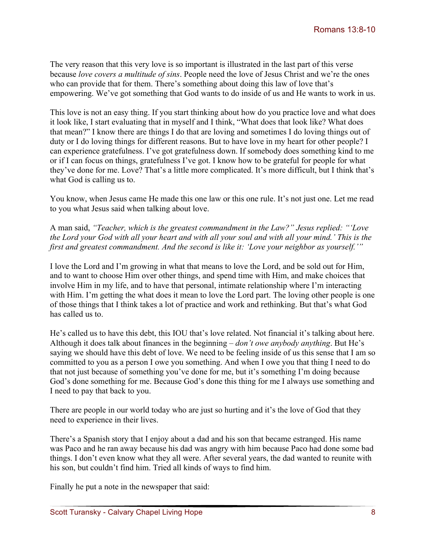The very reason that this very love is so important is illustrated in the last part of this verse because *love covers a multitude of sins*. People need the love of Jesus Christ and we're the ones who can provide that for them. There's something about doing this law of love that's empowering. We've got something that God wants to do inside of us and He wants to work in us.

This love is not an easy thing. If you start thinking about how do you practice love and what does it look like, I start evaluating that in myself and I think, "What does that look like? What does that mean?" I know there are things I do that are loving and sometimes I do loving things out of duty or I do loving things for different reasons. But to have love in my heart for other people? I can experience gratefulness. I've got gratefulness down. If somebody does something kind to me or if I can focus on things, gratefulness I've got. I know how to be grateful for people for what they've done for me. Love? That's a little more complicated. It's more difficult, but I think that's what God is calling us to.

You know, when Jesus came He made this one law or this one rule. It's not just one. Let me read to you what Jesus said when talking about love.

A man said, *"Teacher, which is the greatest commandment in the Law?" Jesus replied: "'Love the Lord your God with all your heart and with all your soul and with all your mind.' This is the first and greatest commandment. And the second is like it: 'Love your neighbor as yourself.'"*

I love the Lord and I'm growing in what that means to love the Lord, and be sold out for Him, and to want to choose Him over other things, and spend time with Him, and make choices that involve Him in my life, and to have that personal, intimate relationship where I'm interacting with Him. I'm getting the what does it mean to love the Lord part. The loving other people is one of those things that I think takes a lot of practice and work and rethinking. But that's what God has called us to.

He's called us to have this debt, this IOU that's love related. Not financial it's talking about here. Although it does talk about finances in the beginning – *don't owe anybody anything*. But He's saying we should have this debt of love. We need to be feeling inside of us this sense that I am so committed to you as a person I owe you something. And when I owe you that thing I need to do that not just because of something you've done for me, but it's something I'm doing because God's done something for me. Because God's done this thing for me I always use something and I need to pay that back to you.

There are people in our world today who are just so hurting and it's the love of God that they need to experience in their lives.

There's a Spanish story that I enjoy about a dad and his son that became estranged. His name was Paco and he ran away because his dad was angry with him because Paco had done some bad things. I don't even know what they all were. After several years, the dad wanted to reunite with his son, but couldn't find him. Tried all kinds of ways to find him.

Finally he put a note in the newspaper that said: